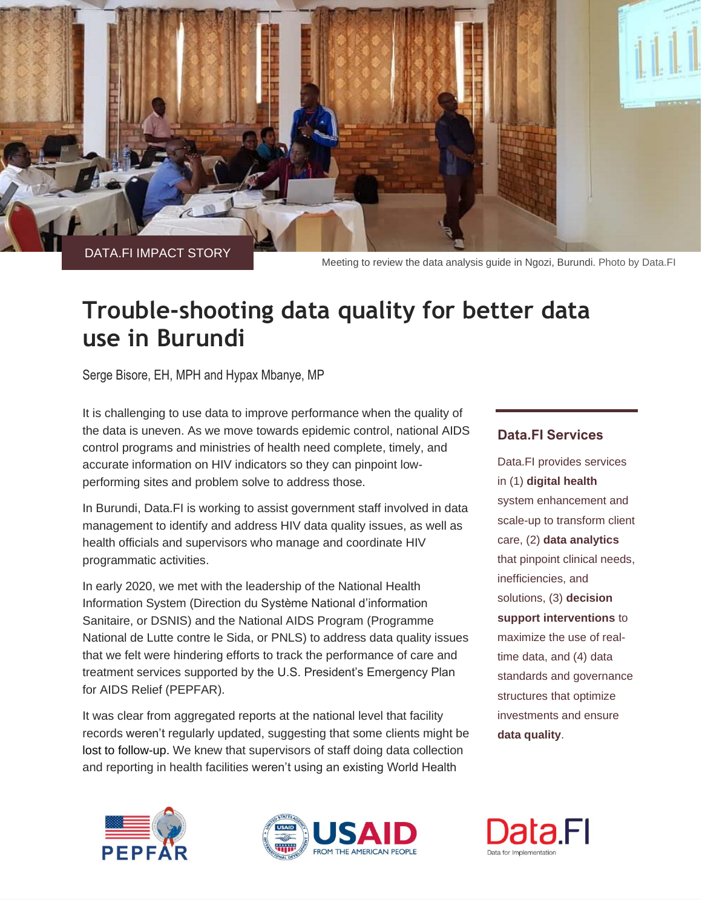

DATA.FI IMPACT STORY

Meeting to review the data analysis guide in Ngozi, Burundi. Photo by Data.FI

# **Trouble-shooting data quality for better data use in Burundi**

Serge Bisore, EH, MPH and Hypax Mbanye, MP

It is challenging to use data to improve performance when the quality of the data is uneven. As we move towards epidemic control, national AIDS control programs and ministries of health need complete, timely, and accurate information on HIV indicators so they can pinpoint lowperforming sites and problem solve to address those.

In Burundi, Data.FI is working to assist government staff involved in data management to identify and address HIV data quality issues, as well as health officials and supervisors who manage and coordinate HIV programmatic activities.

In early 2020, we met with the leadership of the National Health Information System (Direction du Système National d'information Sanitaire, or DSNIS) and the National AIDS Program (Programme National de Lutte contre le Sida, or PNLS) to address data quality issues that we felt were hindering efforts to track the performance of care and treatment services supported by the U.S. President's Emergency Plan for AIDS Relief (PEPFAR).

It was clear from aggregated reports at the national level that facility records weren't regularly updated, suggesting that some clients might be lost to follow-up. We knew that supervisors of staff doing data collection and reporting in health facilities weren't using an existing World Health





## **Data.FI Services**

Data.FI provides services in (1) **digital health** system enhancement and scale-up to transform client care, (2) **data analytics** that pinpoint clinical needs, inefficiencies, and solutions, (3) **decision support interventions** to maximize the use of realtime data, and (4) data standards and governance structures that optimize investments and ensure **data quality**.

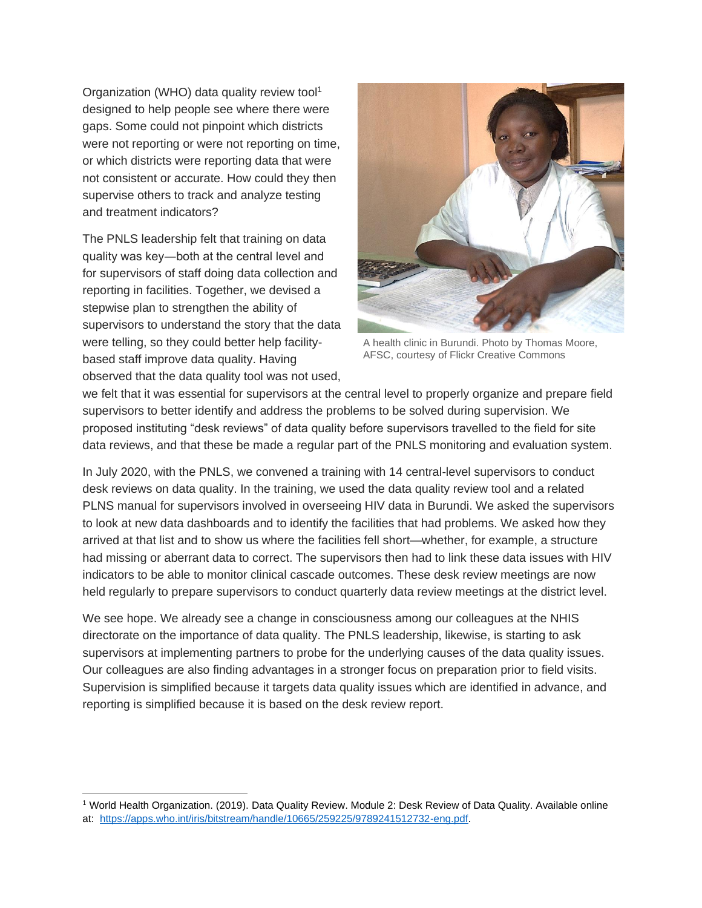Organization (WHO) data quality review tool<sup>1</sup> designed to help people see where there were gaps. Some could not pinpoint which districts were not reporting or were not reporting on time, or which districts were reporting data that were not consistent or accurate. How could they then supervise others to track and analyze testing and treatment indicators?

The PNLS leadership felt that training on data quality was key―both at the central level and for supervisors of staff doing data collection and reporting in facilities. Together, we devised a stepwise plan to strengthen the ability of supervisors to understand the story that the data were telling, so they could better help facilitybased staff improve data quality. Having observed that the data quality tool was not used,



A health clinic in Burundi. Photo by Thomas Moore, AFSC, courtesy of Flickr Creative Commons

we felt that it was essential for supervisors at the central level to properly organize and prepare field supervisors to better identify and address the problems to be solved during supervision. We proposed instituting "desk reviews" of data quality before supervisors travelled to the field for site data reviews, and that these be made a regular part of the PNLS monitoring and evaluation system.

In July 2020, with the PNLS, we convened a training with 14 central-level supervisors to conduct desk reviews on data quality. In the training, we used the data quality review tool and a related PLNS manual for supervisors involved in overseeing HIV data in Burundi. We asked the supervisors to look at new data dashboards and to identify the facilities that had problems. We asked how they arrived at that list and to show us where the facilities fell short—whether, for example, a structure had missing or aberrant data to correct. The supervisors then had to link these data issues with HIV indicators to be able to monitor clinical cascade outcomes. These desk review meetings are now held regularly to prepare supervisors to conduct quarterly data review meetings at the district level.

We see hope. We already see a change in consciousness among our colleagues at the NHIS directorate on the importance of data quality. The PNLS leadership, likewise, is starting to ask supervisors at implementing partners to probe for the underlying causes of the data quality issues. Our colleagues are also finding advantages in a stronger focus on preparation prior to field visits. Supervision is simplified because it targets data quality issues which are identified in advance, and reporting is simplified because it is based on the desk review report.

<sup>1</sup> World Health Organization. (2019). Data Quality Review. Module 2: Desk Review of Data Quality. Available online at: [https://apps.who.int/iris/bitstream/handle/10665/259225/9789241512732-eng.pdf.](https://apps.who.int/iris/bitstream/handle/10665/259225/9789241512732-eng.pdf)